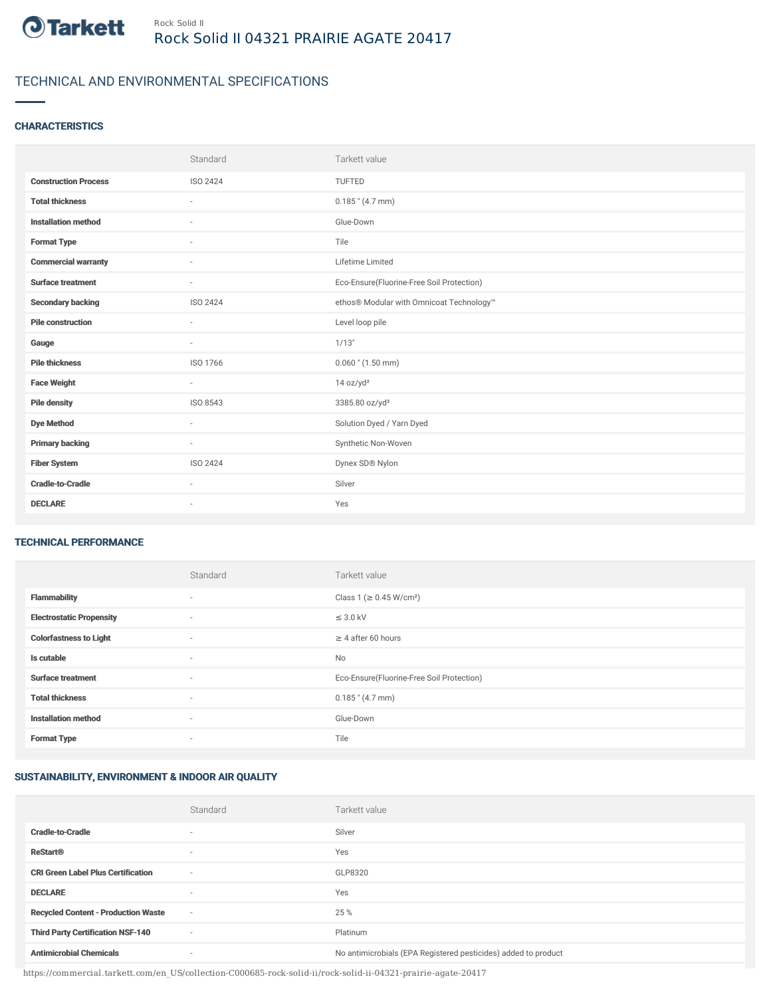

# TECHNICAL AND ENVIRONMENTAL SPECIFICATIONS

## **CHARACTERISTICS**

|                             | Standard                 | Tarkett value                             |
|-----------------------------|--------------------------|-------------------------------------------|
| <b>Construction Process</b> | ISO 2424                 | <b>TUFTED</b>                             |
| <b>Total thickness</b>      | $\overline{\phantom{a}}$ | $0.185$ " (4.7 mm)                        |
| <b>Installation method</b>  | $\sim$                   | Glue-Down                                 |
| <b>Format Type</b>          | ÷                        | Tile                                      |
| <b>Commercial warranty</b>  | ٠                        | Lifetime Limited                          |
| <b>Surface treatment</b>    | $\sim$                   | Eco-Ensure(Fluorine-Free Soil Protection) |
| <b>Secondary backing</b>    | ISO 2424                 | ethos® Modular with Omnicoat Technology™  |
| <b>Pile construction</b>    | ٠                        | Level loop pile                           |
| Gauge                       | $\sim$                   | 1/13"                                     |
| <b>Pile thickness</b>       | ISO 1766                 | $0.060$ " (1.50 mm)                       |
| <b>Face Weight</b>          | $\sim$                   | 14 oz/yd <sup>2</sup>                     |
| <b>Pile density</b>         | ISO 8543                 | 3385.80 oz/yd <sup>3</sup>                |
| <b>Dye Method</b>           | $\sim$                   | Solution Dyed / Yarn Dyed                 |
| <b>Primary backing</b>      | $\sim$                   | Synthetic Non-Woven                       |
| <b>Fiber System</b>         | ISO 2424                 | Dynex SD® Nylon                           |
| <b>Cradle-to-Cradle</b>     | $\overline{\phantom{a}}$ | Silver                                    |
| <b>DECLARE</b>              | $\overline{\phantom{a}}$ | Yes                                       |

#### TECHNICAL PERFORMANCE

|                                 | Standard                 | Tarkett value                             |
|---------------------------------|--------------------------|-------------------------------------------|
| <b>Flammability</b>             | ٠                        | Class 1 (≥ 0.45 W/cm <sup>2</sup> )       |
| <b>Electrostatic Propensity</b> | $\sim$                   | $\leq$ 3.0 kV                             |
| <b>Colorfastness to Light</b>   | $\sim$                   | $\geq 4$ after 60 hours                   |
| Is cutable                      | $\sim$                   | No                                        |
| <b>Surface treatment</b>        | $\sim$                   | Eco-Ensure(Fluorine-Free Soil Protection) |
| <b>Total thickness</b>          | $\sim$                   | $0.185$ " (4.7 mm)                        |
| <b>Installation method</b>      | $\sim$                   | Glue-Down                                 |
| <b>Format Type</b>              | $\overline{\phantom{a}}$ | Tile                                      |

### SUSTAINABILITY, ENVIRONMENT & INDOOR AIR QUALITY

|                                            | Standard                 | Tarkett value                                                  |
|--------------------------------------------|--------------------------|----------------------------------------------------------------|
| <b>Cradle-to-Cradle</b>                    | ۰                        | Silver                                                         |
| <b>ReStart®</b>                            | $\overline{\phantom{a}}$ | Yes                                                            |
| <b>CRI Green Label Plus Certification</b>  | $\overline{\phantom{a}}$ | GLP8320                                                        |
| <b>DECLARE</b>                             | $\overline{\phantom{a}}$ | Yes                                                            |
| <b>Recycled Content - Production Waste</b> | $\sim$                   | 25 %                                                           |
| <b>Third Party Certification NSF-140</b>   | $\overline{\phantom{a}}$ | Platinum                                                       |
| <b>Antimicrobial Chemicals</b>             | ۰                        | No antimicrobials (EPA Registered pesticides) added to product |

https://commercial.tarkett.com/en\_US/collection-C000685-rock-solid-ii/rock-solid-ii-04321-prairie-agate-20417